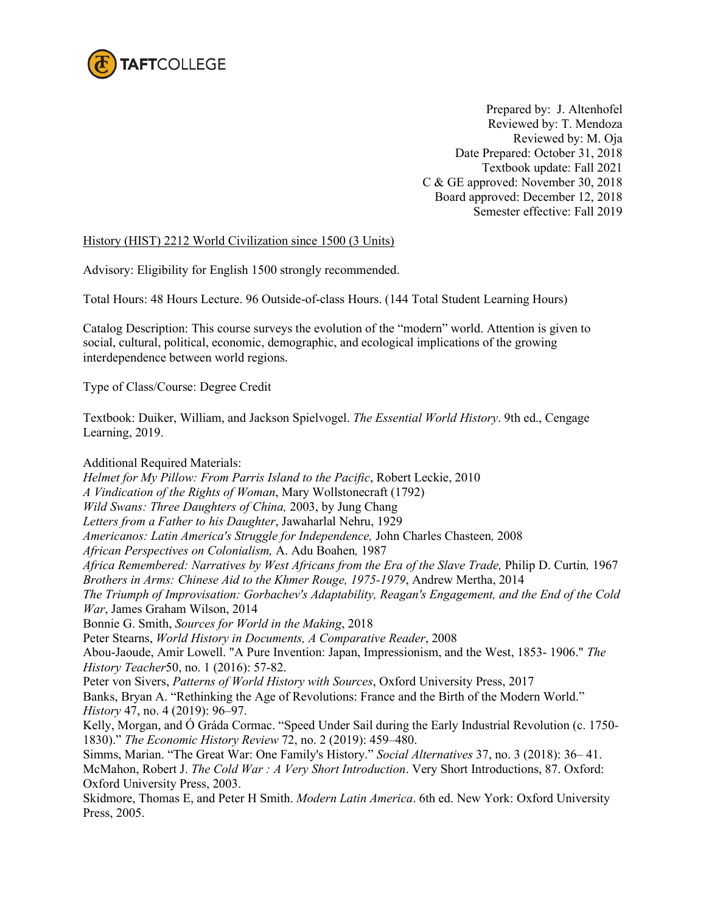

Prepared by: J. Altenhofel Reviewed by: T. Mendoza Reviewed by: M. Oja Date Prepared: October 31, 2018 Textbook update: Fall 2021 C & GE approved: November 30, 2018 Board approved: December 12, 2018 Semester effective: Fall 2019

## History (HIST) 2212 World Civilization since 1500 (3 Units)

Advisory: Eligibility for English 1500 strongly recommended.

Total Hours: 48 Hours Lecture. 96 Outside-of-class Hours. (144 Total Student Learning Hours)

Catalog Description: This course surveys the evolution of the "modern" world. Attention is given to social, cultural, political, economic, demographic, and ecological implications of the growing interdependence between world regions.

Type of Class/Course: Degree Credit

Textbook: Duiker, William, and Jackson Spielvogel. *The Essential World History*. 9th ed., Cengage Learning, 2019.

Additional Required Materials: *Helmet for My Pillow: From Parris Island to the Pacific*, Robert Leckie, 2010 *A Vindication of the Rights of Woman*, Mary Wollstonecraft (1792) *Wild Swans: Three Daughters of China,* 2003, by Jung Chang *Letters from a Father to his Daughter*, Jawaharlal Nehru, 1929 *Americanos: Latin America's Struggle for Independence,* John Charles Chasteen*,* 2008 *African Perspectives on Colonialism,* A. Adu Boahen*,* 1987 *Africa Remembered: Narratives by West Africans from the Era of the Slave Trade,* Philip D. Curtin*,* 1967 *Brothers in Arms: Chinese Aid to the Khmer Rouge, 1975-1979*, Andrew Mertha, 2014 *The Triumph of Improvisation: Gorbachev's Adaptability, Reagan's Engagement, and the End of the Cold War*, James Graham Wilson, 2014 Bonnie G. Smith, *Sources for World in the Making*, 2018 Peter Stearns, *World History in Documents, A Comparative Reader*, 2008 Abou-Jaoude, Amir Lowell. "A Pure Invention: Japan, Impressionism, and the West, 1853- 1906." *The History Teacher*50, no. 1 (2016): 57-82. Peter von Sivers, *Patterns of World History with Sources*, Oxford University Press, 2017 Banks, Bryan A. "Rethinking the Age of Revolutions: France and the Birth of the Modern World." *History* 47, no. 4 (2019): 96–97. Kelly, Morgan, and Ó Gráda Cormac. "Speed Under Sail during the Early Industrial Revolution (c. 1750- 1830)." *The Economic History Review* 72, no. 2 (2019): 459–480. Simms, Marian. "The Great War: One Family's History." *Social Alternatives* 37, no. 3 (2018): 36– 41. McMahon, Robert J. *The Cold War : A Very Short Introduction*. Very Short Introductions, 87. Oxford: Oxford University Press, 2003. Skidmore, Thomas E, and Peter H Smith. *Modern Latin America*. 6th ed. New York: Oxford University Press, 2005.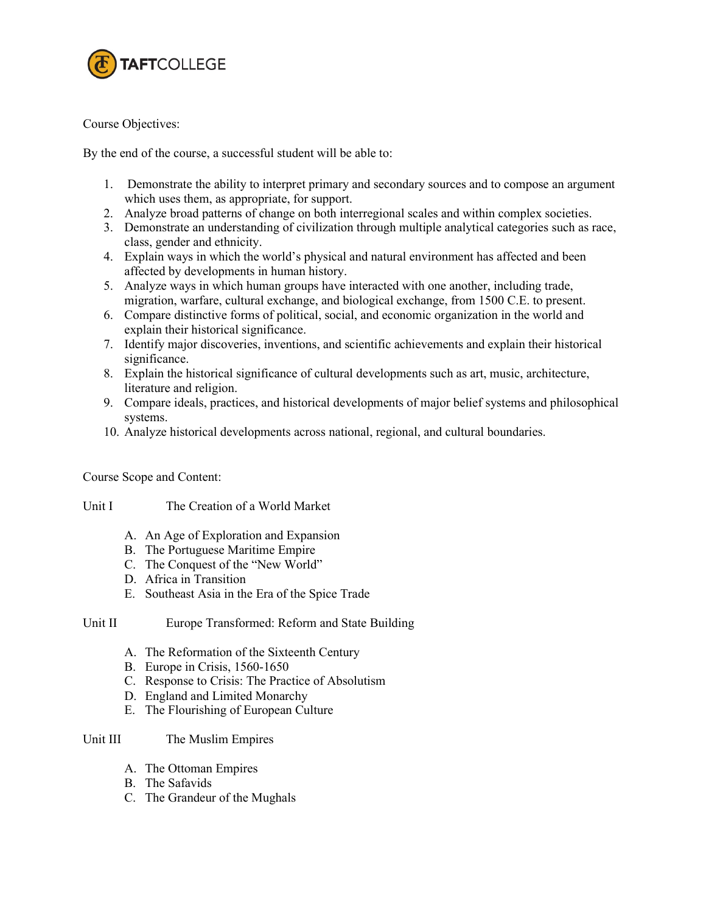

Course Objectives:

By the end of the course, a successful student will be able to:

- 1. Demonstrate the ability to interpret primary and secondary sources and to compose an argument which uses them, as appropriate, for support.
- 2. Analyze broad patterns of change on both interregional scales and within complex societies.
- 3. Demonstrate an understanding of civilization through multiple analytical categories such as race, class, gender and ethnicity.
- 4. Explain ways in which the world's physical and natural environment has affected and been affected by developments in human history.
- 5. Analyze ways in which human groups have interacted with one another, including trade, migration, warfare, cultural exchange, and biological exchange, from 1500 C.E. to present.
- 6. Compare distinctive forms of political, social, and economic organization in the world and explain their historical significance.
- 7. Identify major discoveries, inventions, and scientific achievements and explain their historical significance.
- 8. Explain the historical significance of cultural developments such as art, music, architecture, literature and religion.
- 9. Compare ideals, practices, and historical developments of major belief systems and philosophical systems.
- 10. Analyze historical developments across national, regional, and cultural boundaries.

Course Scope and Content:

Unit I The Creation of a World Market

- A. An Age of Exploration and Expansion
- B. The Portuguese Maritime Empire
- C. The Conquest of the "New World"
- D. Africa in Transition
- E. Southeast Asia in the Era of the Spice Trade

## Unit II Europe Transformed: Reform and State Building

- A. The Reformation of the Sixteenth Century
- B. Europe in Crisis, 1560-1650
- C. Response to Crisis: The Practice of Absolutism
- D. England and Limited Monarchy
- E. The Flourishing of European Culture

## Unit III The Muslim Empires

- A. The Ottoman Empires
- B. The Safavids
- C. The Grandeur of the Mughals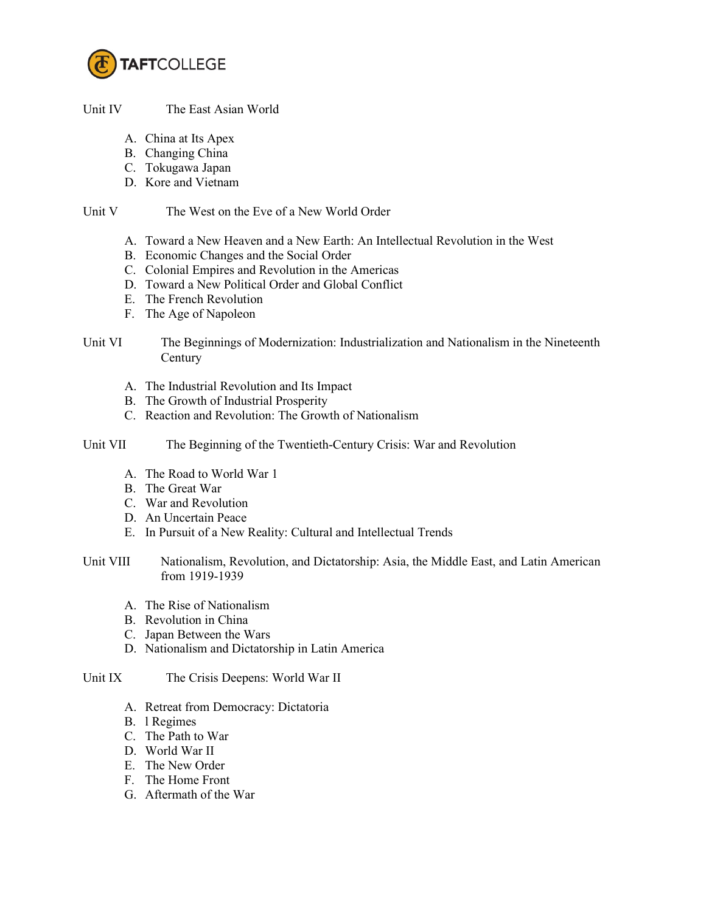

## Unit IV The East Asian World

- A. China at Its Apex
- B. Changing China
- C. Tokugawa Japan
- D. Kore and Vietnam

#### Unit V The West on the Eve of a New World Order

- A. Toward a New Heaven and a New Earth: An Intellectual Revolution in the West
- B. Economic Changes and the Social Order
- C. Colonial Empires and Revolution in the Americas
- D. Toward a New Political Order and Global Conflict
- E. The French Revolution
- F. The Age of Napoleon
- Unit VI The Beginnings of Modernization: Industrialization and Nationalism in the Nineteenth Century
	- A. The Industrial Revolution and Its Impact
	- B. The Growth of Industrial Prosperity
	- C. Reaction and Revolution: The Growth of Nationalism
- Unit VII The Beginning of the Twentieth-Century Crisis: War and Revolution
	- A. The Road to World War 1
	- B. The Great War
	- C. War and Revolution
	- D. An Uncertain Peace
	- E. In Pursuit of a New Reality: Cultural and Intellectual Trends
- Unit VIII Nationalism, Revolution, and Dictatorship: Asia, the Middle East, and Latin American from 1919-1939
	- A. The Rise of Nationalism
	- B. Revolution in China
	- C. Japan Between the Wars
	- D. Nationalism and Dictatorship in Latin America

## Unit IX The Crisis Deepens: World War II

- A. Retreat from Democracy: Dictatoria
- B. l Regimes
- C. The Path to War
- D. World War II
- E. The New Order
- F. The Home Front
- G. Aftermath of the War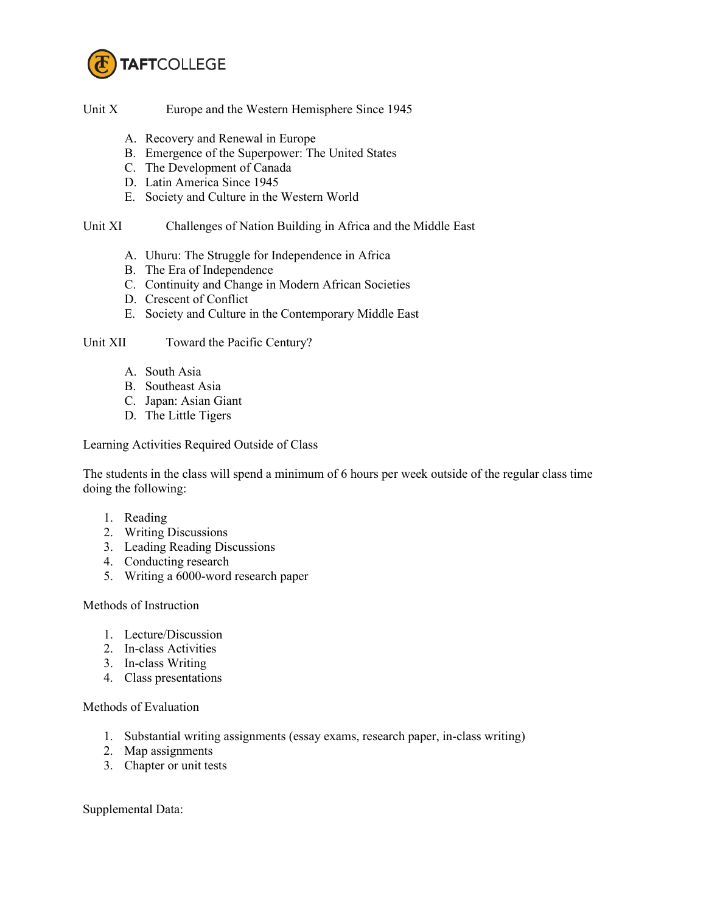

Unit X Europe and the Western Hemisphere Since 1945

- A. Recovery and Renewal in Europe
- B. Emergence of the Superpower: The United States
- C. The Development of Canada
- D. Latin America Since 1945
- E. Society and Culture in the Western World

# Unit XI Challenges of Nation Building in Africa and the Middle East

- A. Uhuru: The Struggle for Independence in Africa
- B. The Era of Independence
- C. Continuity and Change in Modern African Societies
- D. Crescent of Conflict
- E. Society and Culture in the Contemporary Middle East

## Unit XII Toward the Pacific Century?

- A. South Asia
- B. Southeast Asia
- C. Japan: Asian Giant
- D. The Little Tigers

Learning Activities Required Outside of Class

The students in the class will spend a minimum of 6 hours per week outside of the regular class time doing the following:

- 1. Reading
- 2. Writing Discussions
- 3. Leading Reading Discussions
- 4. Conducting research
- 5. Writing a 6000-word research paper

## Methods of Instruction

- 1. Lecture/Discussion
- 2. In-class Activities
- 3. In-class Writing
- 4. Class presentations

Methods of Evaluation

- 1. Substantial writing assignments (essay exams, research paper, in-class writing)
- 2. Map assignments
- 3. Chapter or unit tests

Supplemental Data: